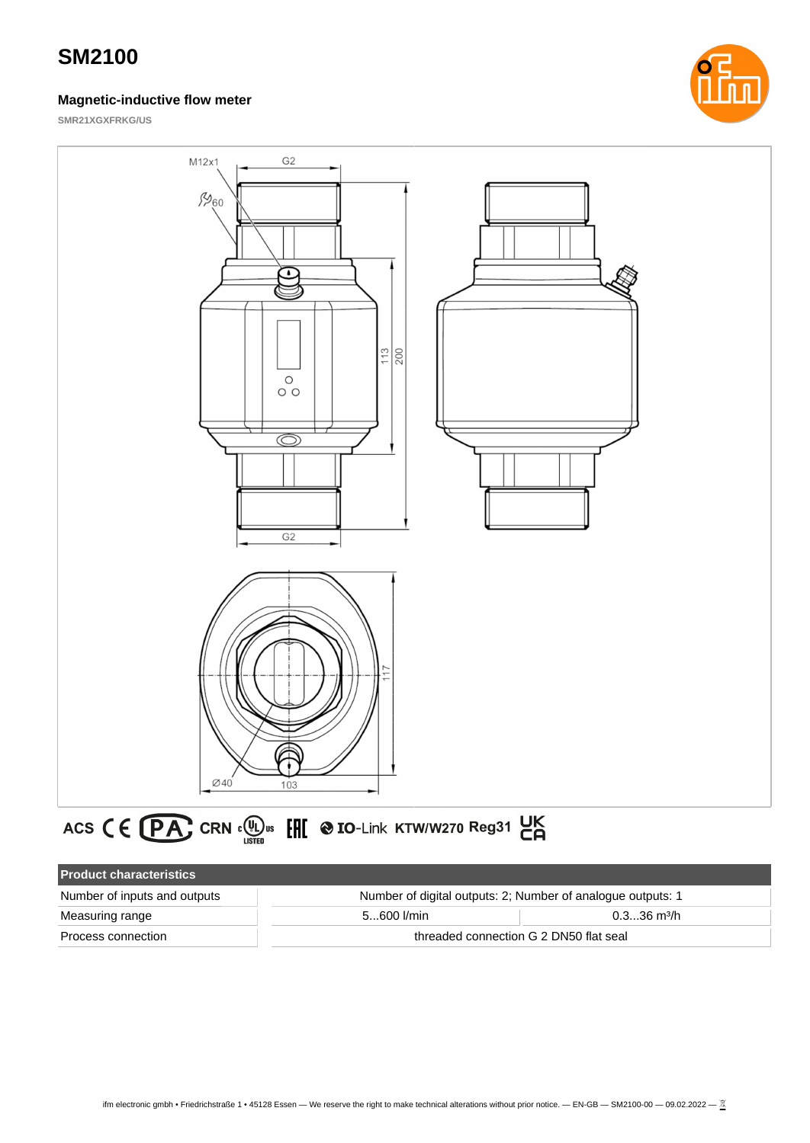### **Magnetic-inductive flow meter**



**SMR21XGXFRKG/US**



# ACS CE PA CRN CU US EH @ IO-Link KTW/W270 Reg31 UK

| <b>Product characteristics</b> |                                                             |                           |
|--------------------------------|-------------------------------------------------------------|---------------------------|
| Number of inputs and outputs   | Number of digital outputs: 2; Number of analogue outputs: 1 |                           |
| Measuring range                | $5600$ I/min                                                | $0.336$ m <sup>3</sup> /h |
| Process connection             | threaded connection G 2 DN50 flat seal                      |                           |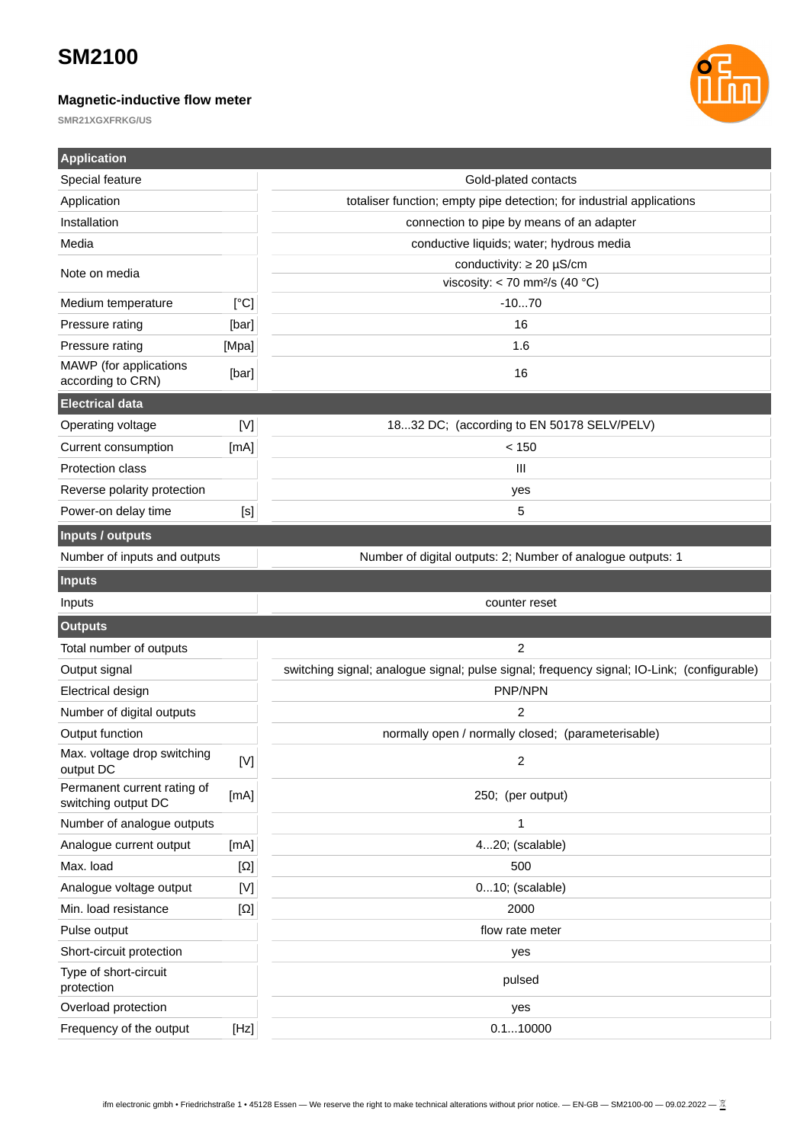### **Magnetic-inductive flow meter**



| <b>Application</b>                                 |                                                                                                                                                                                              |                                                                                            |  |
|----------------------------------------------------|----------------------------------------------------------------------------------------------------------------------------------------------------------------------------------------------|--------------------------------------------------------------------------------------------|--|
| Special feature                                    |                                                                                                                                                                                              | Gold-plated contacts                                                                       |  |
| Application                                        |                                                                                                                                                                                              | totaliser function; empty pipe detection; for industrial applications                      |  |
| Installation                                       |                                                                                                                                                                                              | connection to pipe by means of an adapter                                                  |  |
| Media                                              |                                                                                                                                                                                              | conductive liquids; water; hydrous media                                                   |  |
| Note on media                                      |                                                                                                                                                                                              | conductivity: $\geq 20 \mu$ S/cm                                                           |  |
|                                                    |                                                                                                                                                                                              | viscosity: < 70 mm <sup>2</sup> /s (40 °C)                                                 |  |
| Medium temperature                                 | [°C]                                                                                                                                                                                         | $-1070$                                                                                    |  |
| Pressure rating                                    | [bar]                                                                                                                                                                                        | 16                                                                                         |  |
| Pressure rating                                    | [Mpa]                                                                                                                                                                                        | 1.6                                                                                        |  |
| MAWP (for applications<br>according to CRN)        | [bar]                                                                                                                                                                                        | 16                                                                                         |  |
| <b>Electrical data</b>                             |                                                                                                                                                                                              |                                                                                            |  |
| Operating voltage                                  | $[{\sf V}]$                                                                                                                                                                                  | 1832 DC; (according to EN 50178 SELV/PELV)                                                 |  |
| Current consumption                                | [mA]                                                                                                                                                                                         | < 150                                                                                      |  |
| Protection class                                   |                                                                                                                                                                                              | III                                                                                        |  |
| Reverse polarity protection                        |                                                                                                                                                                                              | yes                                                                                        |  |
| Power-on delay time                                | [s]                                                                                                                                                                                          | 5                                                                                          |  |
| Inputs / outputs                                   |                                                                                                                                                                                              |                                                                                            |  |
| Number of inputs and outputs                       |                                                                                                                                                                                              | Number of digital outputs: 2; Number of analogue outputs: 1                                |  |
| <b>Inputs</b>                                      |                                                                                                                                                                                              |                                                                                            |  |
| Inputs                                             |                                                                                                                                                                                              | counter reset                                                                              |  |
| <b>Outputs</b>                                     |                                                                                                                                                                                              |                                                                                            |  |
| Total number of outputs                            |                                                                                                                                                                                              | $\overline{c}$                                                                             |  |
| Output signal                                      |                                                                                                                                                                                              | switching signal; analogue signal; pulse signal; frequency signal; IO-Link; (configurable) |  |
| Electrical design                                  |                                                                                                                                                                                              | PNP/NPN                                                                                    |  |
| Number of digital outputs                          |                                                                                                                                                                                              | 2                                                                                          |  |
| Output function                                    |                                                                                                                                                                                              | normally open / normally closed; (parameterisable)                                         |  |
| Max. voltage drop switching<br>output DC           | $[{\mathsf{V}}] % \centering \includegraphics[width=\textwidth]{images/Traj_25.png} % \caption{The figure shows the results of the estimators in the left and right.} \label{fig:Traj_25} %$ | 2                                                                                          |  |
| Permanent current rating of<br>switching output DC | [mA]                                                                                                                                                                                         | 250; (per output)                                                                          |  |
| Number of analogue outputs                         |                                                                                                                                                                                              | $\mathbf{1}$                                                                               |  |
| Analogue current output                            | [mA]                                                                                                                                                                                         | 420; (scalable)                                                                            |  |
| Max. load                                          | $[\Omega]$                                                                                                                                                                                   | 500                                                                                        |  |
| Analogue voltage output                            | $[{\sf V}]$                                                                                                                                                                                  | $010$ ; (scalable)                                                                         |  |
| Min. load resistance                               | $[\Omega]$                                                                                                                                                                                   | 2000                                                                                       |  |
| Pulse output                                       |                                                                                                                                                                                              | flow rate meter                                                                            |  |
| Short-circuit protection                           |                                                                                                                                                                                              | yes                                                                                        |  |
| Type of short-circuit<br>protection                |                                                                                                                                                                                              | pulsed                                                                                     |  |
| Overload protection                                |                                                                                                                                                                                              | yes                                                                                        |  |
| Frequency of the output                            | [Hz]                                                                                                                                                                                         | 0.110000                                                                                   |  |
|                                                    |                                                                                                                                                                                              |                                                                                            |  |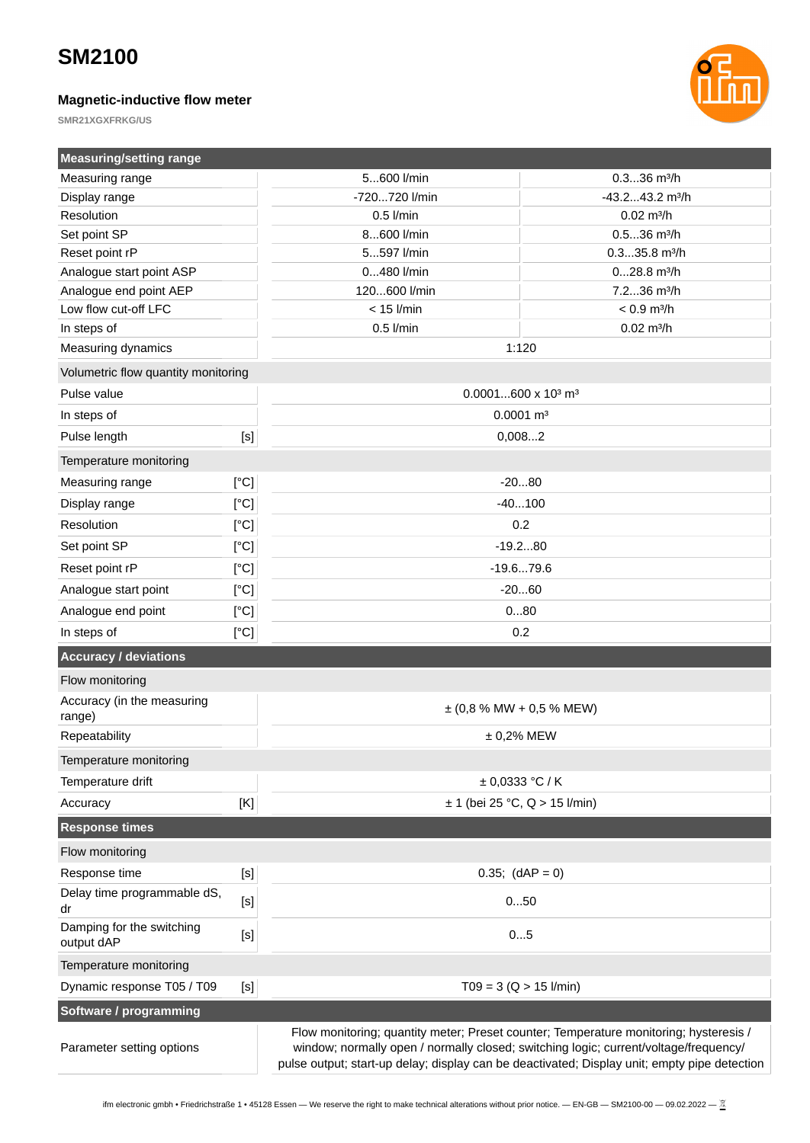### **Magnetic-inductive flow meter**



| <b>Measuring/setting range</b>          |                                                                                                                                                                                                                                                                                                                                                                                                                                                                                                                                                                                                                                                                                                                                                                                                                                                                                                                                                                                                                                                                                                                                                                        |                                                                                      |                                                                                                                                                                                       |
|-----------------------------------------|------------------------------------------------------------------------------------------------------------------------------------------------------------------------------------------------------------------------------------------------------------------------------------------------------------------------------------------------------------------------------------------------------------------------------------------------------------------------------------------------------------------------------------------------------------------------------------------------------------------------------------------------------------------------------------------------------------------------------------------------------------------------------------------------------------------------------------------------------------------------------------------------------------------------------------------------------------------------------------------------------------------------------------------------------------------------------------------------------------------------------------------------------------------------|--------------------------------------------------------------------------------------|---------------------------------------------------------------------------------------------------------------------------------------------------------------------------------------|
| Measuring range                         |                                                                                                                                                                                                                                                                                                                                                                                                                                                                                                                                                                                                                                                                                                                                                                                                                                                                                                                                                                                                                                                                                                                                                                        | 5600 l/min                                                                           | $0.336$ m <sup>3</sup> /h                                                                                                                                                             |
| Display range                           |                                                                                                                                                                                                                                                                                                                                                                                                                                                                                                                                                                                                                                                                                                                                                                                                                                                                                                                                                                                                                                                                                                                                                                        | -720720 l/min                                                                        | $-43.243.2$ m <sup>3</sup> /h                                                                                                                                                         |
| Resolution                              |                                                                                                                                                                                                                                                                                                                                                                                                                                                                                                                                                                                                                                                                                                                                                                                                                                                                                                                                                                                                                                                                                                                                                                        | $0.5$ I/min                                                                          | $0.02$ m $\frac{3}{h}$                                                                                                                                                                |
| Set point SP                            |                                                                                                                                                                                                                                                                                                                                                                                                                                                                                                                                                                                                                                                                                                                                                                                                                                                                                                                                                                                                                                                                                                                                                                        | 8600 l/min                                                                           | $0.536$ m <sup>3</sup> /h                                                                                                                                                             |
| Reset point rP                          |                                                                                                                                                                                                                                                                                                                                                                                                                                                                                                                                                                                                                                                                                                                                                                                                                                                                                                                                                                                                                                                                                                                                                                        | 5597 l/min                                                                           | $0.335.8$ m $3/h$                                                                                                                                                                     |
| Analogue start point ASP                |                                                                                                                                                                                                                                                                                                                                                                                                                                                                                                                                                                                                                                                                                                                                                                                                                                                                                                                                                                                                                                                                                                                                                                        | 0480 l/min                                                                           | $028.8$ m <sup>3</sup> /h                                                                                                                                                             |
| Analogue end point AEP                  |                                                                                                                                                                                                                                                                                                                                                                                                                                                                                                                                                                                                                                                                                                                                                                                                                                                                                                                                                                                                                                                                                                                                                                        | 120600 l/min                                                                         | 7.236 m <sup>3</sup> /h                                                                                                                                                               |
| Low flow cut-off LFC                    |                                                                                                                                                                                                                                                                                                                                                                                                                                                                                                                                                                                                                                                                                                                                                                                                                                                                                                                                                                                                                                                                                                                                                                        | $< 15$ I/min                                                                         | $< 0.9$ m $\frac{3}{h}$                                                                                                                                                               |
| In steps of                             |                                                                                                                                                                                                                                                                                                                                                                                                                                                                                                                                                                                                                                                                                                                                                                                                                                                                                                                                                                                                                                                                                                                                                                        | $0.5$ I/min                                                                          | $0.02$ m <sup>3</sup> /h                                                                                                                                                              |
| Measuring dynamics                      |                                                                                                                                                                                                                                                                                                                                                                                                                                                                                                                                                                                                                                                                                                                                                                                                                                                                                                                                                                                                                                                                                                                                                                        |                                                                                      | 1:120                                                                                                                                                                                 |
| Volumetric flow quantity monitoring     |                                                                                                                                                                                                                                                                                                                                                                                                                                                                                                                                                                                                                                                                                                                                                                                                                                                                                                                                                                                                                                                                                                                                                                        |                                                                                      |                                                                                                                                                                                       |
| Pulse value                             |                                                                                                                                                                                                                                                                                                                                                                                                                                                                                                                                                                                                                                                                                                                                                                                                                                                                                                                                                                                                                                                                                                                                                                        |                                                                                      | $0.0001600 \times 10^3$ m <sup>3</sup>                                                                                                                                                |
| In steps of                             |                                                                                                                                                                                                                                                                                                                                                                                                                                                                                                                                                                                                                                                                                                                                                                                                                                                                                                                                                                                                                                                                                                                                                                        | $0.0001$ m <sup>3</sup>                                                              |                                                                                                                                                                                       |
| Pulse length                            | $[S]$                                                                                                                                                                                                                                                                                                                                                                                                                                                                                                                                                                                                                                                                                                                                                                                                                                                                                                                                                                                                                                                                                                                                                                  | 0,0082                                                                               |                                                                                                                                                                                       |
| Temperature monitoring                  |                                                                                                                                                                                                                                                                                                                                                                                                                                                                                                                                                                                                                                                                                                                                                                                                                                                                                                                                                                                                                                                                                                                                                                        |                                                                                      |                                                                                                                                                                                       |
| Measuring range                         | [°C]                                                                                                                                                                                                                                                                                                                                                                                                                                                                                                                                                                                                                                                                                                                                                                                                                                                                                                                                                                                                                                                                                                                                                                   | $-2080$                                                                              |                                                                                                                                                                                       |
| Display range                           | [°C]                                                                                                                                                                                                                                                                                                                                                                                                                                                                                                                                                                                                                                                                                                                                                                                                                                                                                                                                                                                                                                                                                                                                                                   | $-40100$                                                                             |                                                                                                                                                                                       |
| Resolution                              | [°C]                                                                                                                                                                                                                                                                                                                                                                                                                                                                                                                                                                                                                                                                                                                                                                                                                                                                                                                                                                                                                                                                                                                                                                   | 0.2                                                                                  |                                                                                                                                                                                       |
| Set point SP                            | [°C]                                                                                                                                                                                                                                                                                                                                                                                                                                                                                                                                                                                                                                                                                                                                                                                                                                                                                                                                                                                                                                                                                                                                                                   | $-19.280$                                                                            |                                                                                                                                                                                       |
| Reset point rP                          | [°C]                                                                                                                                                                                                                                                                                                                                                                                                                                                                                                                                                                                                                                                                                                                                                                                                                                                                                                                                                                                                                                                                                                                                                                   | $-19.679.6$                                                                          |                                                                                                                                                                                       |
| Analogue start point                    | [°C]                                                                                                                                                                                                                                                                                                                                                                                                                                                                                                                                                                                                                                                                                                                                                                                                                                                                                                                                                                                                                                                                                                                                                                   | $-2060$                                                                              |                                                                                                                                                                                       |
| Analogue end point                      | [°C]                                                                                                                                                                                                                                                                                                                                                                                                                                                                                                                                                                                                                                                                                                                                                                                                                                                                                                                                                                                                                                                                                                                                                                   | 080                                                                                  |                                                                                                                                                                                       |
| In steps of                             | [°C]                                                                                                                                                                                                                                                                                                                                                                                                                                                                                                                                                                                                                                                                                                                                                                                                                                                                                                                                                                                                                                                                                                                                                                   | 0.2                                                                                  |                                                                                                                                                                                       |
| <b>Accuracy / deviations</b>            |                                                                                                                                                                                                                                                                                                                                                                                                                                                                                                                                                                                                                                                                                                                                                                                                                                                                                                                                                                                                                                                                                                                                                                        |                                                                                      |                                                                                                                                                                                       |
| Flow monitoring                         |                                                                                                                                                                                                                                                                                                                                                                                                                                                                                                                                                                                                                                                                                                                                                                                                                                                                                                                                                                                                                                                                                                                                                                        |                                                                                      |                                                                                                                                                                                       |
| Accuracy (in the measuring<br>range)    |                                                                                                                                                                                                                                                                                                                                                                                                                                                                                                                                                                                                                                                                                                                                                                                                                                                                                                                                                                                                                                                                                                                                                                        | $\pm$ (0,8 % MW + 0,5 % MEW)                                                         |                                                                                                                                                                                       |
| Repeatability                           |                                                                                                                                                                                                                                                                                                                                                                                                                                                                                                                                                                                                                                                                                                                                                                                                                                                                                                                                                                                                                                                                                                                                                                        | $± 0,2%$ MEW                                                                         |                                                                                                                                                                                       |
| Temperature monitoring                  |                                                                                                                                                                                                                                                                                                                                                                                                                                                                                                                                                                                                                                                                                                                                                                                                                                                                                                                                                                                                                                                                                                                                                                        |                                                                                      |                                                                                                                                                                                       |
| Temperature drift                       |                                                                                                                                                                                                                                                                                                                                                                                                                                                                                                                                                                                                                                                                                                                                                                                                                                                                                                                                                                                                                                                                                                                                                                        |                                                                                      | ± 0,0333 °C/K                                                                                                                                                                         |
| Accuracy                                | [K]                                                                                                                                                                                                                                                                                                                                                                                                                                                                                                                                                                                                                                                                                                                                                                                                                                                                                                                                                                                                                                                                                                                                                                    | $\pm$ 1 (bei 25 °C, Q > 15 l/min)                                                    |                                                                                                                                                                                       |
| <b>Response times</b>                   |                                                                                                                                                                                                                                                                                                                                                                                                                                                                                                                                                                                                                                                                                                                                                                                                                                                                                                                                                                                                                                                                                                                                                                        |                                                                                      |                                                                                                                                                                                       |
| Flow monitoring                         |                                                                                                                                                                                                                                                                                                                                                                                                                                                                                                                                                                                                                                                                                                                                                                                                                                                                                                                                                                                                                                                                                                                                                                        |                                                                                      |                                                                                                                                                                                       |
| Response time                           |                                                                                                                                                                                                                                                                                                                                                                                                                                                                                                                                                                                                                                                                                                                                                                                                                                                                                                                                                                                                                                                                                                                                                                        | $0.35;$ (dAP = 0)                                                                    |                                                                                                                                                                                       |
| Delay time programmable dS,<br>dr       | $[{\mathsf s}]$                                                                                                                                                                                                                                                                                                                                                                                                                                                                                                                                                                                                                                                                                                                                                                                                                                                                                                                                                                                                                                                                                                                                                        | 050                                                                                  |                                                                                                                                                                                       |
| Damping for the switching<br>output dAP | $[S]$                                                                                                                                                                                                                                                                                                                                                                                                                                                                                                                                                                                                                                                                                                                                                                                                                                                                                                                                                                                                                                                                                                                                                                  |                                                                                      | 05                                                                                                                                                                                    |
| Temperature monitoring                  |                                                                                                                                                                                                                                                                                                                                                                                                                                                                                                                                                                                                                                                                                                                                                                                                                                                                                                                                                                                                                                                                                                                                                                        |                                                                                      |                                                                                                                                                                                       |
| Dynamic response T05 / T09              | $\left[ \mathsf{S}\right] % \begin{center} \includegraphics[width=\linewidth]{imagesSupplemental_3.png} \end{center} % \vspace{-1em} \caption{The first two two two different values of the corresponding eigenvalues of the first two different values of the first two different values of the first two different values of the second two different values of the second two different values of the second two different values of the second two different values of the second two different values of the second two different values of the second two different values of the second two different values of the second two different values of the second two different values of the second two different values of the second two different values of the second two different values of the second two different values of the second two different values of the third two different values of the third two different values of the third two different values of the third two different values of the third two different values of the third two different values of the third two different values of the third two different values of the third$ | $TO9 = 3 (Q > 15$ l/min)                                                             |                                                                                                                                                                                       |
| Software / programming                  |                                                                                                                                                                                                                                                                                                                                                                                                                                                                                                                                                                                                                                                                                                                                                                                                                                                                                                                                                                                                                                                                                                                                                                        |                                                                                      |                                                                                                                                                                                       |
| Parameter setting options               |                                                                                                                                                                                                                                                                                                                                                                                                                                                                                                                                                                                                                                                                                                                                                                                                                                                                                                                                                                                                                                                                                                                                                                        | window; normally open / normally closed; switching logic; current/voltage/frequency/ | Flow monitoring; quantity meter; Preset counter; Temperature monitoring; hysteresis /<br>pulse output; start-up delay; display can be deactivated; Display unit; empty pipe detection |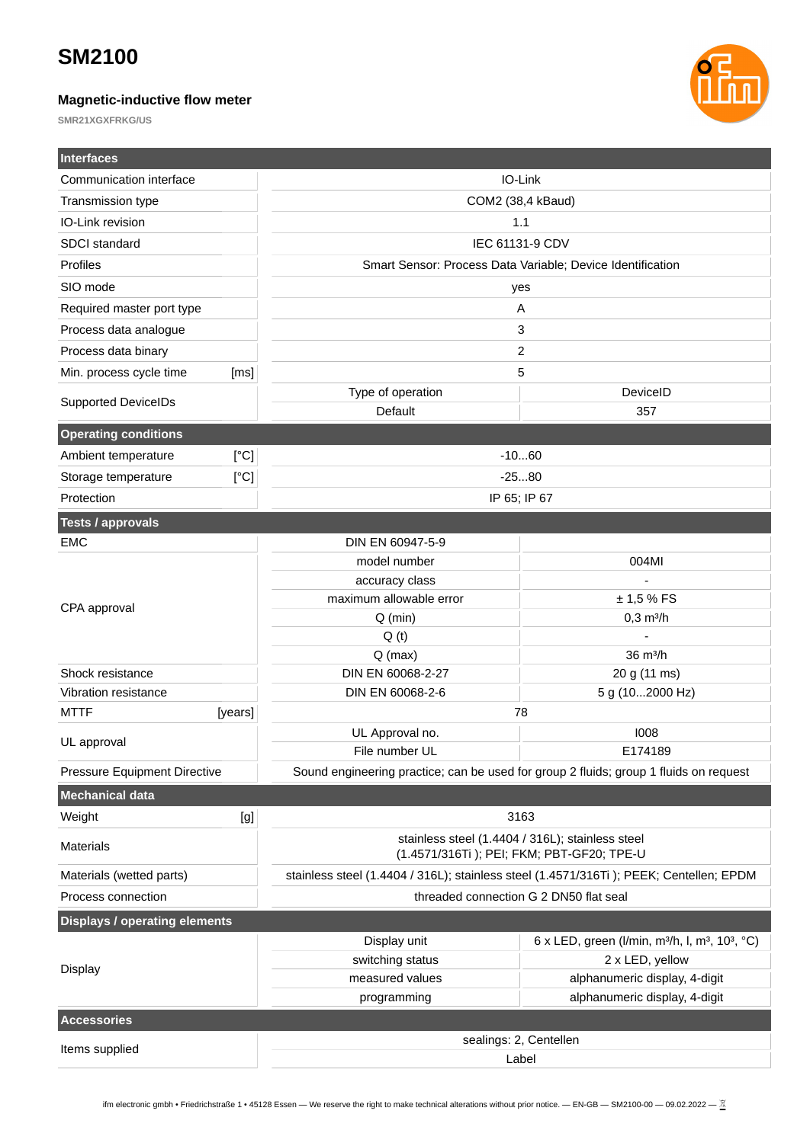### **Magnetic-inductive flow meter**



| <b>Interfaces</b>                        |                                        |                                                                                                                                     |
|------------------------------------------|----------------------------------------|-------------------------------------------------------------------------------------------------------------------------------------|
| Communication interface                  |                                        | IO-Link                                                                                                                             |
| Transmission type                        |                                        | COM2 (38,4 kBaud)                                                                                                                   |
| IO-Link revision                         |                                        | 1.1                                                                                                                                 |
| SDCI standard                            | IEC 61131-9 CDV                        |                                                                                                                                     |
| Profiles                                 |                                        | Smart Sensor: Process Data Variable; Device Identification                                                                          |
| SIO mode                                 |                                        | yes                                                                                                                                 |
| Required master port type                |                                        | A                                                                                                                                   |
| Process data analogue                    |                                        | 3                                                                                                                                   |
| Process data binary                      |                                        | 2                                                                                                                                   |
| Min. process cycle time<br>[ms]          |                                        | 5                                                                                                                                   |
| <b>Supported DeviceIDs</b>               | Type of operation                      | DeviceID                                                                                                                            |
|                                          | Default                                | 357                                                                                                                                 |
| <b>Operating conditions</b>              |                                        |                                                                                                                                     |
| Ambient temperature<br>[°C]              |                                        | $-1060$                                                                                                                             |
| [°C]<br>Storage temperature              |                                        | $-2580$                                                                                                                             |
| Protection                               |                                        | IP 65; IP 67                                                                                                                        |
| <b>Tests / approvals</b>                 |                                        |                                                                                                                                     |
| <b>EMC</b>                               | DIN EN 60947-5-9                       |                                                                                                                                     |
|                                          | model number                           | 004MI                                                                                                                               |
|                                          | accuracy class                         |                                                                                                                                     |
| CPA approval                             | maximum allowable error                | ± 1,5% FS                                                                                                                           |
|                                          | $Q$ (min)                              | $0,3 \text{ m}^3/h$                                                                                                                 |
|                                          | Q(t)                                   |                                                                                                                                     |
|                                          | $Q$ (max)                              | 36 m <sup>3</sup> /h                                                                                                                |
| Shock resistance<br>Vibration resistance | DIN EN 60068-2-27<br>DIN EN 60068-2-6  | 20 g (11 ms)<br>5 g (102000 Hz)                                                                                                     |
| <b>MTTF</b><br>[years]                   |                                        | 78                                                                                                                                  |
|                                          | UL Approval no.                        | 1008                                                                                                                                |
| UL approval                              | File number UL                         | F174189                                                                                                                             |
| Pressure Equipment Directive             |                                        | Sound engineering practice; can be used for group 2 fluids; group 1 fluids on request                                               |
| Mechanical data                          |                                        |                                                                                                                                     |
| Weight<br>[g]                            |                                        | 3163                                                                                                                                |
| Materials                                |                                        | stainless steel (1.4404 / 316L); stainless steel                                                                                    |
| Materials (wetted parts)                 |                                        | (1.4571/316Ti); PEI; FKM; PBT-GF20; TPE-U<br>stainless steel (1.4404 / 316L); stainless steel (1.4571/316Ti); PEEK; Centellen; EPDM |
| Process connection                       |                                        |                                                                                                                                     |
|                                          | threaded connection G 2 DN50 flat seal |                                                                                                                                     |
| <b>Displays / operating elements</b>     |                                        |                                                                                                                                     |
| <b>Display</b>                           | Display unit                           | 6 x LED, green (I/min, m <sup>3</sup> /h, l, m <sup>3</sup> , 10 <sup>3</sup> , °C)                                                 |
|                                          | switching status<br>measured values    | 2 x LED, yellow<br>alphanumeric display, 4-digit                                                                                    |
|                                          | programming                            | alphanumeric display, 4-digit                                                                                                       |
| <b>Accessories</b>                       |                                        |                                                                                                                                     |
|                                          |                                        | sealings: 2, Centellen                                                                                                              |
| Items supplied                           | Label                                  |                                                                                                                                     |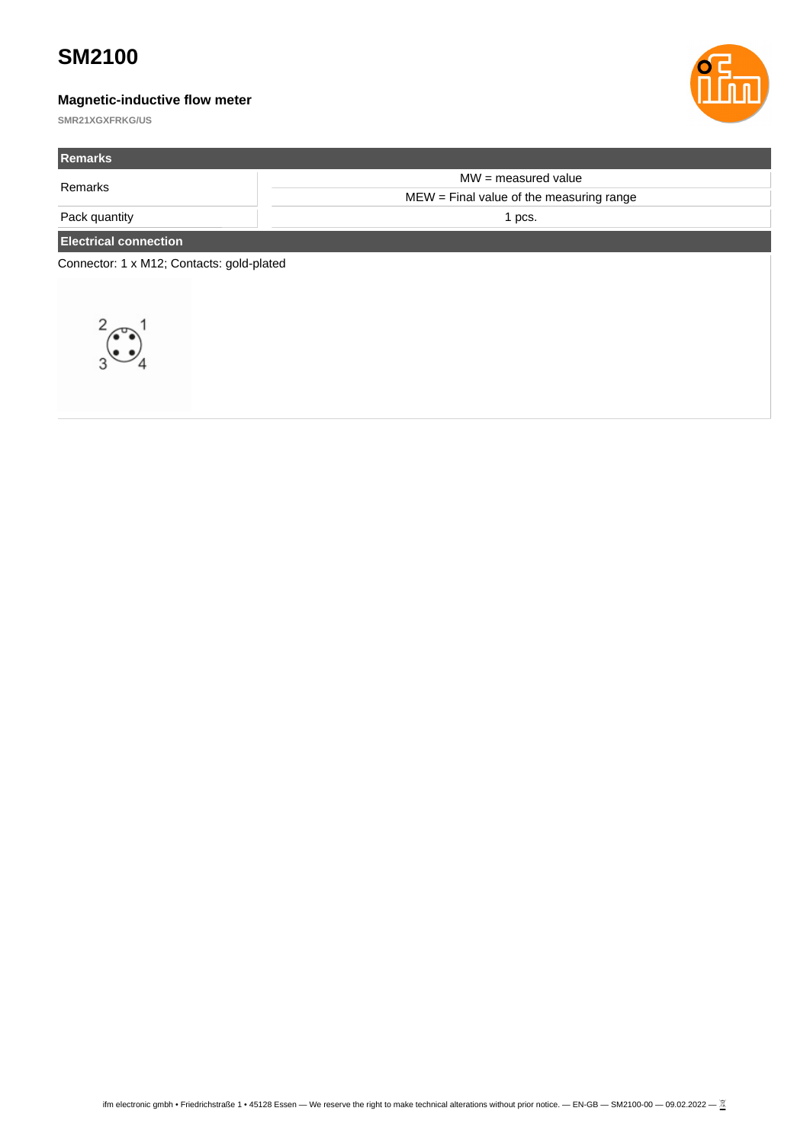### **Magnetic-inductive flow meter**



| <b>Remarks</b>                            |                                           |  |  |
|-------------------------------------------|-------------------------------------------|--|--|
| Remarks                                   | $MW = measured value$                     |  |  |
|                                           | $MEW = Find$ value of the measuring range |  |  |
| Pack quantity                             | 1 pcs.                                    |  |  |
| <b>Electrical connection</b>              |                                           |  |  |
| Connector: 1 x M12; Contacts: gold-plated |                                           |  |  |
|                                           |                                           |  |  |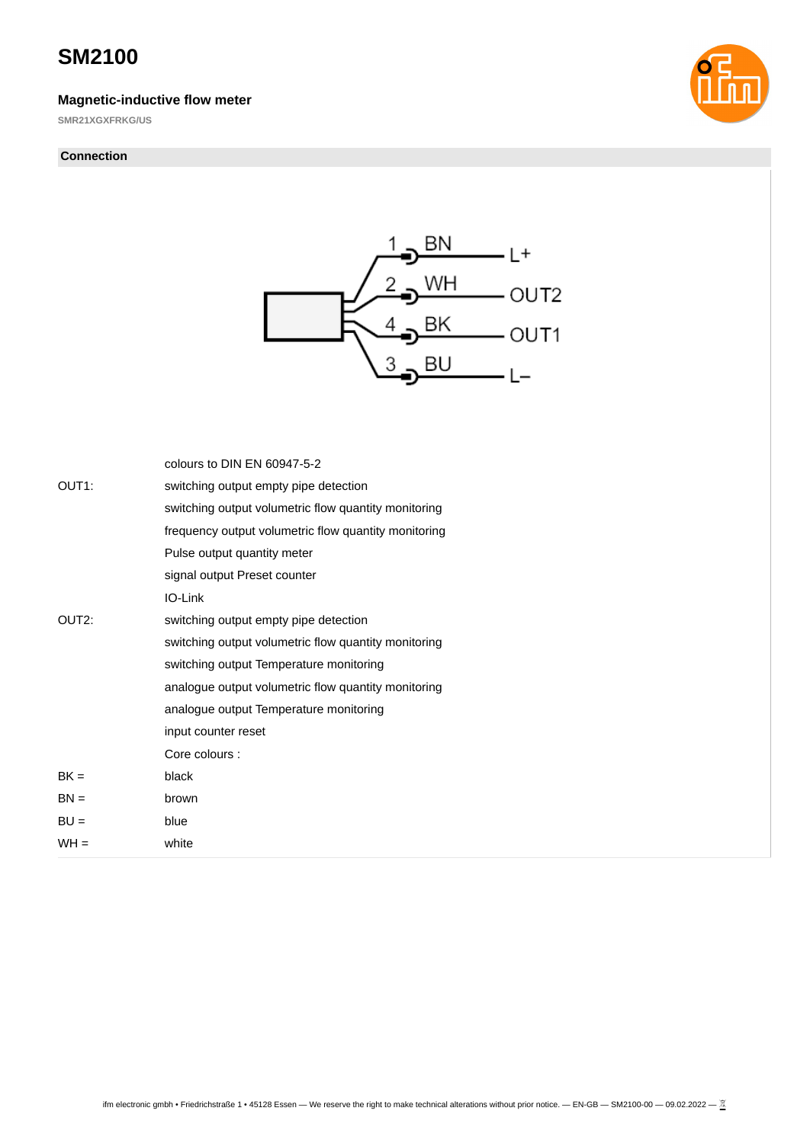#### **Magnetic-inductive flow meter**

**SMR21XGXFRKG/US**

#### **Connection**





|                    | colours to DIN EN 60947-5-2                          |
|--------------------|------------------------------------------------------|
| OUT <sub>1</sub> : | switching output empty pipe detection                |
|                    | switching output volumetric flow quantity monitoring |
|                    | frequency output volumetric flow quantity monitoring |
|                    | Pulse output quantity meter                          |
|                    | signal output Preset counter                         |
|                    | IO-Link                                              |
| OUT <sub>2</sub> : | switching output empty pipe detection                |
|                    | switching output volumetric flow quantity monitoring |
|                    | switching output Temperature monitoring              |
|                    | analogue output volumetric flow quantity monitoring  |
|                    | analogue output Temperature monitoring               |
|                    | input counter reset                                  |
|                    | Core colours :                                       |
| $BK =$             | black                                                |
| $BN =$             | brown                                                |
| $BU =$             | blue                                                 |
| $WH =$             | white                                                |
|                    |                                                      |